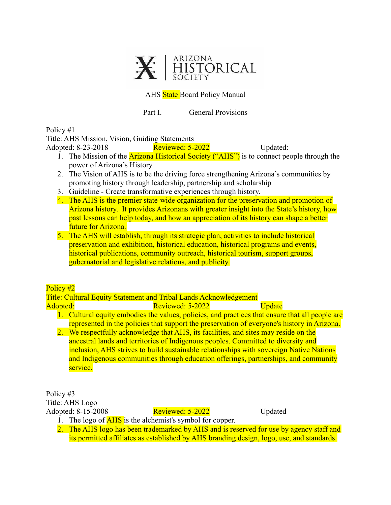

### AHS State Board Policy Manual

Part I. General Provisions

Policy #1

Title: AHS Mission, Vision, Guiding Statements

Adopted: 8-23-2018 **Reviewed: 5-2022** Updated:

- 1. The Mission of the **Arizona Historical Society ("AHS")** is to connect people through the power of Arizona's History
- 2. The Vision of AHS is to be the driving force strengthening Arizona's communities by promoting history through leadership, partnership and scholarship
- 3. Guideline Create transformative experiences through history.
- 4. The AHS is the premier state-wide organization for the preservation and promotion of Arizona history. It provides Arizonans with greater insight into the State's history, how past lessons can help today, and how an appreciation of its history can shape a better future for Arizona.
- 5. The AHS will establish, through its strategic plan, activities to include historical preservation and exhibition, historical education, historical programs and events, historical publications, community outreach, historical tourism, support groups, gubernatorial and legislative relations, and publicity.

### Policy #2

Title: Cultural Equity Statement and Tribal Lands Acknowledgement

Adopted: Reviewed: 5-2022 Update

- 1. Cultural equity embodies the values, policies, and practices that ensure that all people are represented in the policies that support the preservation of everyone's history in Arizona.
- 2. We respectfully acknowledge that AHS, its facilities, and sites may reside on the ancestral lands and territories of Indigenous peoples. Committed to diversity and inclusion, AHS strives to build sustainable relationships with sovereign Native Nations and Indigenous communities through education offerings, partnerships, and community service.

Policy #3 Title: AHS Logo Adopted: 8-15-2008 Reviewed: 5-2022 Updated

- 1. The logo of **AHS** is the alchemist's symbol for copper.
- 2. The AHS logo has been trademarked by AHS and is reserved for use by agency staff and its permitted affiliates as established by AHS branding design, logo, use, and standards.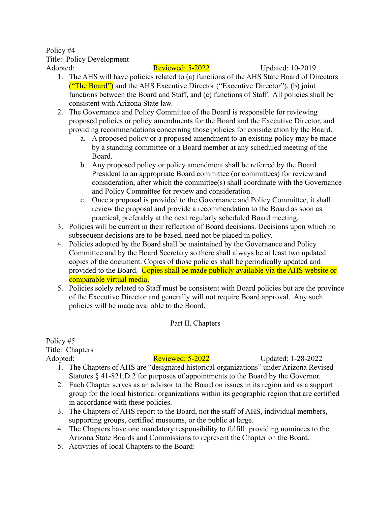Policy #4 Title: Policy Development

Adopted: Reviewed: 5-2022 Updated: 10-2019

- 1. The AHS will have policies related to (a) functions of the AHS State Board of Directors ("The Board") and the AHS Executive Director ("Executive Director"), (b) joint functions between the Board and Staff, and (c) functions of Staff. All policies shall be consistent with Arizona State law.
- 2. The Governance and Policy Committee of the Board is responsible for reviewing proposed policies or policy amendments for the Board and the Executive Director, and providing recommendations concerning those policies for consideration by the Board.
	- a. A proposed policy or a proposed amendment to an existing policy may be made by a standing committee or a Board member at any scheduled meeting of the Board.
	- b. Any proposed policy or policy amendment shall be referred by the Board President to an appropriate Board committee (or committees) for review and consideration, after which the committee(s) shall coordinate with the Governance and Policy Committee for review and consideration.
	- c. Once a proposal is provided to the Governance and Policy Committee, it shall review the proposal and provide a recommendation to the Board as soon as practical, preferably at the next regularly scheduled Board meeting.
- 3. Policies will be current in their reflection of Board decisions. Decisions upon which no subsequent decisions are to be based, need not be placed in policy.
- 4. Policies adopted by the Board shall be maintained by the Governance and Policy Committee and by the Board Secretary so there shall always be at least two updated copies of the document. Copies of those policies shall be periodically updated and provided to the Board. Copies shall be made publicly available via the AHS website or comparable virtual media.
- 5. Policies solely related to Staff must be consistent with Board policies but are the province of the Executive Director and generally will not require Board approval. Any such policies will be made available to the Board.

Part II. Chapters

Policy #5 Title: Chapters

Adopted: Reviewed: 5-2022 Updated: 1-28-2022

- 1. The Chapters of AHS are "designated historical organizations" under Arizona Revised Statutes § 41-821.D.2 for purposes of appointments to the Board by the Governor.
- 2. Each Chapter serves as an advisor to the Board on issues in its region and as a support group for the local historical organizations within its geographic region that are certified in accordance with these policies.
- 3. The Chapters of AHS report to the Board, not the staff of AHS, individual members, supporting groups, certified museums, or the public at large.
- 4. The Chapters have one mandatory responsibility to fulfill: providing nominees to the Arizona State Boards and Commissions to represent the Chapter on the Board.
- 5. Activities of local Chapters to the Board: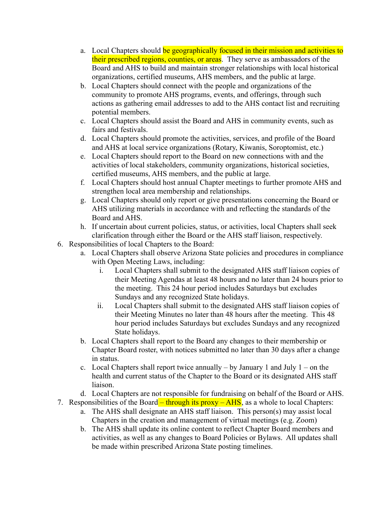- a. Local Chapters should be geographically focused in their mission and activities to their prescribed regions, counties, or areas. They serve as ambassadors of the Board and AHS to build and maintain stronger relationships with local historical organizations, certified museums, AHS members, and the public at large.
- b. Local Chapters should connect with the people and organizations of the community to promote AHS programs, events, and offerings, through such actions as gathering email addresses to add to the AHS contact list and recruiting potential members.
- c. Local Chapters should assist the Board and AHS in community events, such as fairs and festivals.
- d. Local Chapters should promote the activities, services, and profile of the Board and AHS at local service organizations (Rotary, Kiwanis, Soroptomist, etc.)
- e. Local Chapters should report to the Board on new connections with and the activities of local stakeholders, community organizations, historical societies, certified museums, AHS members, and the public at large.
- f. Local Chapters should host annual Chapter meetings to further promote AHS and strengthen local area membership and relationships.
- g. Local Chapters should only report or give presentations concerning the Board or AHS utilizing materials in accordance with and reflecting the standards of the Board and AHS.
- h. If uncertain about current policies, status, or activities, local Chapters shall seek clarification through either the Board or the AHS staff liaison, respectively.
- 6. Responsibilities of local Chapters to the Board:
	- a. Local Chapters shall observe Arizona State policies and procedures in compliance with Open Meeting Laws, including:
		- i. Local Chapters shall submit to the designated AHS staff liaison copies of their Meeting Agendas at least 48 hours and no later than 24 hours prior to the meeting. This 24 hour period includes Saturdays but excludes Sundays and any recognized State holidays.
		- ii. Local Chapters shall submit to the designated AHS staff liaison copies of their Meeting Minutes no later than 48 hours after the meeting. This 48 hour period includes Saturdays but excludes Sundays and any recognized State holidays.
	- b. Local Chapters shall report to the Board any changes to their membership or Chapter Board roster, with notices submitted no later than 30 days after a change in status.
	- c. Local Chapters shall report twice annually  $-$  by January 1 and July 1 on the health and current status of the Chapter to the Board or its designated AHS staff liaison.
	- d. Local Chapters are not responsible for fundraising on behalf of the Board or AHS.
- 7. Responsibilities of the Board through its proxy AHS, as a whole to local Chapters:
	- a. The AHS shall designate an AHS staff liaison. This person(s) may assist local Chapters in the creation and management of virtual meetings (e.g. Zoom)
	- b. The AHS shall update its online content to reflect Chapter Board members and activities, as well as any changes to Board Policies or Bylaws. All updates shall be made within prescribed Arizona State posting timelines.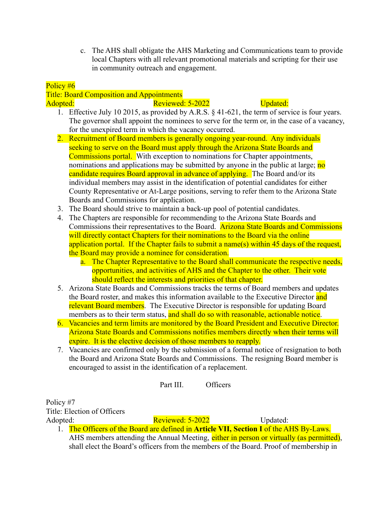c. The AHS shall obligate the AHS Marketing and Communications team to provide local Chapters with all relevant promotional materials and scripting for their use in community outreach and engagement.

# Policy #6

# Title: Board Composition and Appointments Adopted: The Reviewed: 5-2022 **Constant Updated:** Section 2012 2022

- 1. Effective July 10 2015, as provided by A.R.S. § 41-621, the term of service is four years. The governor shall appoint the nominees to serve for the term or, in the case of a vacancy, for the unexpired term in which the vacancy occurred.
- 2. Recruitment of Board members is generally ongoing year-round. Any individuals seeking to serve on the Board must apply through the Arizona State Boards and Commissions portal. With exception to nominations for Chapter appointments, nominations and applications may be submitted by anyone in the public at large; no candidate requires Board approval in advance of applying. The Board and/or its individual members may assist in the identification of potential candidates for either County Representative or At-Large positions, serving to refer them to the Arizona State Boards and Commissions for application.
- 3. The Board should strive to maintain a back-up pool of potential candidates.
- 4. The Chapters are responsible for recommending to the Arizona State Boards and Commissions their representatives to the Board. Arizona State Boards and Commissions will directly contact Chapters for their nominations to the Board via the online application portal. If the Chapter fails to submit a name(s) within 45 days of the request, the Board may provide a nominee for consideration.
	- a. The Chapter Representative to the Board shall communicate the respective needs, opportunities, and activities of AHS and the Chapter to the other. Their vote should reflect the interests and priorities of that chapter.
- 5. Arizona State Boards and Commissions tracks the terms of Board members and updates the Board roster, and makes this information available to the Executive Director and relevant Board members. The Executive Director is responsible for updating Board members as to their term status, and shall do so with reasonable, actionable notice.
- 6. Vacancies and term limits are monitored by the Board President and Executive Director. Arizona State Boards and Commissions notifies members directly when their terms will expire. It is the elective decision of those members to reapply.
- 7. Vacancies are confirmed only by the submission of a formal notice of resignation to both the Board and Arizona State Boards and Commissions. The resigning Board member is encouraged to assist in the identification of a replacement.

Part III. Officers

Policy #7 Title: Election of Officers Adopted: Reviewed: 5-2022 Updated:

1. The Officers of the Board are defined in **Article VII, Section I** of the AHS By-Laws. AHS members attending the Annual Meeting, either in person or virtually (as permitted), shall elect the Board's officers from the members of the Board. Proof of membership in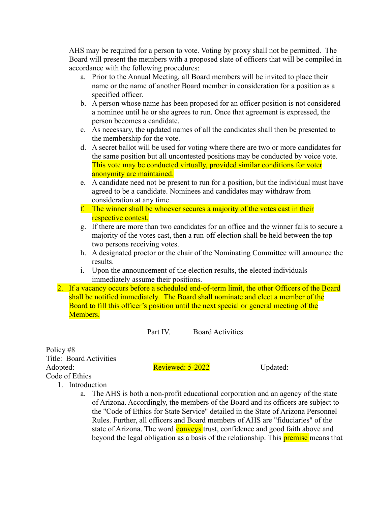AHS may be required for a person to vote. Voting by proxy shall not be permitted. The Board will present the members with a proposed slate of officers that will be compiled in accordance with the following procedures:

- a. Prior to the Annual Meeting, all Board members will be invited to place their name or the name of another Board member in consideration for a position as a specified officer.
- b. A person whose name has been proposed for an officer position is not considered a nominee until he or she agrees to run. Once that agreement is expressed, the person becomes a candidate.
- c. As necessary, the updated names of all the candidates shall then be presented to the membership for the vote.
- d. A secret ballot will be used for voting where there are two or more candidates for the same position but all uncontested positions may be conducted by voice vote. This vote may be conducted virtually, provided similar conditions for voter anonymity are maintained.
- e. A candidate need not be present to run for a position, but the individual must have agreed to be a candidate. Nominees and candidates may withdraw from consideration at any time.
- f. The winner shall be whoever secures a majority of the votes cast in their respective contest.
- g. If there are more than two candidates for an office and the winner fails to secure a majority of the votes cast, then a run-off election shall be held between the top two persons receiving votes.
- h. A designated proctor or the chair of the Nominating Committee will announce the results.
- i. Upon the announcement of the election results, the elected individuals immediately assume their positions.
- 2. If a vacancy occurs before a scheduled end-of-term limit, the other Officers of the Board shall be notified immediately. The Board shall nominate and elect a member of the Board to fill this officer's position until the next special or general meeting of the Members.

Part IV. Board Activities

Policy #8 Title: Board Activities Adopted: Reviewed: 5-2022 Updated: Code of Ethics

- 1. Introduction
	- a. The AHS is both a non-profit educational corporation and an agency of the state of Arizona. Accordingly, the members of the Board and its officers are subject to the "Code of Ethics for State Service" detailed in the State of Arizona Personnel Rules. Further, all officers and Board members of AHS are "fiduciaries" of the state of Arizona. The word **conveys** trust, confidence and good faith above and beyond the legal obligation as a basis of the relationship. This **premise** means that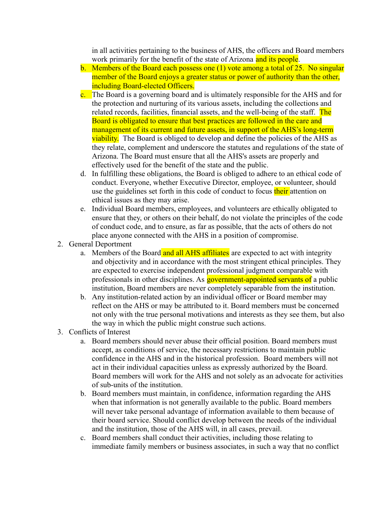in all activities pertaining to the business of AHS, the officers and Board members work primarily for the benefit of the state of Arizona and its people.

- b. Members of the Board each possess one (1) vote among a total of 25. No singular member of the Board enjoys a greater status or power of authority than the other, including Board-elected Officers.
- c. The Board is a governing board and is ultimately responsible for the AHS and for the protection and nurturing of its various assets, including the collections and related records, facilities, financial assets, and the well-being of the staff. The Board is obligated to ensure that best practices are followed in the care and management of its current and future assets, in support of the AHS's long-term viability. The Board is obliged to develop and define the policies of the AHS as they relate, complement and underscore the statutes and regulations of the state of Arizona. The Board must ensure that all the AHS's assets are properly and effectively used for the benefit of the state and the public.
- d. In fulfilling these obligations, the Board is obliged to adhere to an ethical code of conduct. Everyone, whether Executive Director, employee, or volunteer, should use the guidelines set forth in this code of conduct to focus their attention on ethical issues as they may arise.
- e. Individual Board members, employees, and volunteers are ethically obligated to ensure that they, or others on their behalf, do not violate the principles of the code of conduct code, and to ensure, as far as possible, that the acts of others do not place anyone connected with the AHS in a position of compromise.
- 2. General Deportment
	- a. Members of the Board and all AHS affiliates are expected to act with integrity and objectivity and in accordance with the most stringent ethical principles. They are expected to exercise independent professional judgment comparable with professionals in other disciplines. As **government-appointed servants of** a public institution, Board members are never completely separable from the institution.
	- b. Any institution-related action by an individual officer or Board member may reflect on the AHS or may be attributed to it. Board members must be concerned not only with the true personal motivations and interests as they see them, but also the way in which the public might construe such actions.
- 3. Conflicts of Interest
	- a. Board members should never abuse their official position. Board members must accept, as conditions of service, the necessary restrictions to maintain public confidence in the AHS and in the historical profession. Board members will not act in their individual capacities unless as expressly authorized by the Board. Board members will work for the AHS and not solely as an advocate for activities of sub-units of the institution.
	- b. Board members must maintain, in confidence, information regarding the AHS when that information is not generally available to the public. Board members will never take personal advantage of information available to them because of their board service. Should conflict develop between the needs of the individual and the institution, those of the AHS will, in all cases, prevail.
	- c. Board members shall conduct their activities, including those relating to immediate family members or business associates, in such a way that no conflict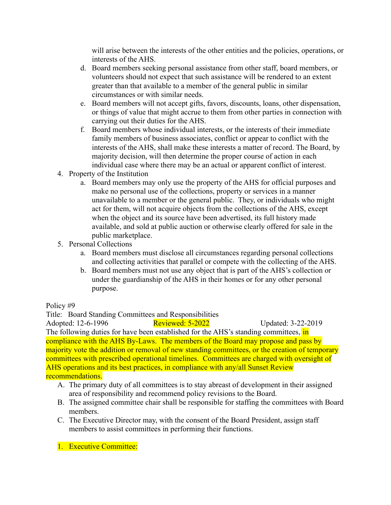will arise between the interests of the other entities and the policies, operations, or interests of the AHS.

- d. Board members seeking personal assistance from other staff, board members, or volunteers should not expect that such assistance will be rendered to an extent greater than that available to a member of the general public in similar circumstances or with similar needs.
- e. Board members will not accept gifts, favors, discounts, loans, other dispensation, or things of value that might accrue to them from other parties in connection with carrying out their duties for the AHS.
- f. Board members whose individual interests, or the interests of their immediate family members of business associates, conflict or appear to conflict with the interests of the AHS, shall make these interests a matter of record. The Board, by majority decision, will then determine the proper course of action in each individual case where there may be an actual or apparent conflict of interest.
- 4. Property of the Institution
	- a. Board members may only use the property of the AHS for official purposes and make no personal use of the collections, property or services in a manner unavailable to a member or the general public. They, or individuals who might act for them, will not acquire objects from the collections of the AHS, except when the object and its source have been advertised, its full history made available, and sold at public auction or otherwise clearly offered for sale in the public marketplace.
- 5. Personal Collections
	- a. Board members must disclose all circumstances regarding personal collections and collecting activities that parallel or compete with the collecting of the AHS.
	- b. Board members must not use any object that is part of the AHS's collection or under the guardianship of the AHS in their homes or for any other personal purpose.

Policy #9

Title: Board Standing Committees and Responsibilities

Adopted: 12-6-1996 **Reviewed: 5-2022** Updated: 3-22-2019 The following duties for have been established for the AHS's standing committees, in compliance with the AHS By-Laws. The members of the Board may propose and pass by majority vote the addition or removal of new standing committees, or the creation of temporary committees with prescribed operational timelines. Committees are charged with oversight of AHS operations and its best practices, in compliance with any/all Sunset Review recommendations.

#### A. The primary duty of all committees is to stay abreast of development in their assigned area of responsibility and recommend policy revisions to the Board.

- B. The assigned committee chair shall be responsible for staffing the committees with Board members.
- C. The Executive Director may, with the consent of the Board President, assign staff members to assist committees in performing their functions.
- 1. Executive Committee: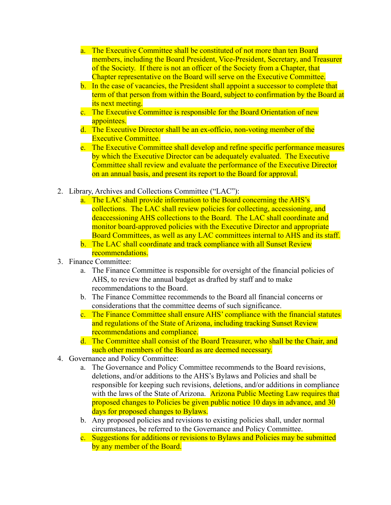- a. The Executive Committee shall be constituted of not more than ten Board members, including the Board President, Vice-President, Secretary, and Treasurer of the Society. If there is not an officer of the Society from a Chapter, that Chapter representative on the Board will serve on the Executive Committee.
- b. In the case of vacancies, the President shall appoint a successor to complete that term of that person from within the Board, subject to confirmation by the Board at its next meeting.
- c. The Executive Committee is responsible for the Board Orientation of new appointees.
- d. The Executive Director shall be an ex-officio, non-voting member of the Executive Committee
- e. The Executive Committee shall develop and refine specific performance measures by which the Executive Director can be adequately evaluated. The Executive Committee shall review and evaluate the performance of the Executive Director on an annual basis, and present its report to the Board for approval.
- 2. Library, Archives and Collections Committee ("LAC"):
	- a. The LAC shall provide information to the Board concerning the AHS's collections. The LAC shall review policies for collecting, accessioning, and deaccessioning AHS collections to the Board. The LAC shall coordinate and monitor board-approved policies with the Executive Director and appropriate Board Committees, as well as any LAC committees internal to AHS and its staff.
	- b. The LAC shall coordinate and track compliance with all Sunset Review recommendations.
- 3. Finance Committee:
	- a. The Finance Committee is responsible for oversight of the financial policies of AHS, to review the annual budget as drafted by staff and to make recommendations to the Board.
	- b. The Finance Committee recommends to the Board all financial concerns or considerations that the committee deems of such significance.
	- c. The Finance Committee shall ensure AHS' compliance with the financial statutes and regulations of the State of Arizona, including tracking Sunset Review recommendations and compliance.
	- d. The Committee shall consist of the Board Treasurer, who shall be the Chair, and such other members of the Board as are deemed necessary.
- 4. Governance and Policy Committee:
	- a. The Governance and Policy Committee recommends to the Board revisions, deletions, and/or additions to the AHS's Bylaws and Policies and shall be responsible for keeping such revisions, deletions, and/or additions in compliance with the laws of the State of Arizona. Arizona Public Meeting Law requires that proposed changes to Policies be given public notice 10 days in advance, and 30 days for proposed changes to Bylaws.
	- b. Any proposed policies and revisions to existing policies shall, under normal circumstances, be referred to the Governance and Policy Committee.
	- c. Suggestions for additions or revisions to Bylaws and Policies may be submitted by any member of the Board.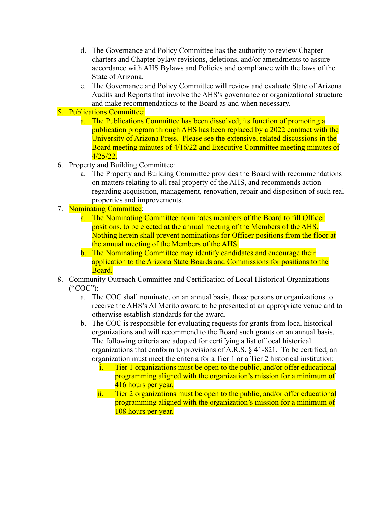- d. The Governance and Policy Committee has the authority to review Chapter charters and Chapter bylaw revisions, deletions, and/or amendments to assure accordance with AHS Bylaws and Policies and compliance with the laws of the State of Arizona.
- e. The Governance and Policy Committee will review and evaluate State of Arizona Audits and Reports that involve the AHS's governance or organizational structure and make recommendations to the Board as and when necessary.

# 5. Publications Committee:

- a. The Publications Committee has been dissolved; its function of promoting a publication program through AHS has been replaced by a 2022 contract with the University of Arizona Press. Please see the extensive, related discussions in the Board meeting minutes of 4/16/22 and Executive Committee meeting minutes of 4/25/22.
- 6. Property and Building Committee:
	- a. The Property and Building Committee provides the Board with recommendations on matters relating to all real property of the AHS, and recommends action regarding acquisition, management, renovation, repair and disposition of such real properties and improvements.
- 7. Nominating Committee:
	- a. The Nominating Committee nominates members of the Board to fill Officer positions, to be elected at the annual meeting of the Members of the AHS. Nothing herein shall prevent nominations for Officer positions from the floor at the annual meeting of the Members of the AHS.
	- b. The Nominating Committee may identify candidates and encourage their application to the Arizona State Boards and Commissions for positions to the Board.
- 8. Community Outreach Committee and Certification of Local Historical Organizations ("COC"):
	- a. The COC shall nominate, on an annual basis, those persons or organizations to receive the AHS's Al Merito award to be presented at an appropriate venue and to otherwise establish standards for the award.
	- b. The COC is responsible for evaluating requests for grants from local historical organizations and will recommend to the Board such grants on an annual basis. The following criteria are adopted for certifying a list of local historical organizations that conform to provisions of A.R.S. § 41-821. To be certified, an organization must meet the criteria for a Tier 1 or a Tier 2 historical institution:
		- i. Tier 1 organizations must be open to the public, and/or offer educational programming aligned with the organization's mission for a minimum of 416 hours per year.
		- ii. Tier 2 organizations must be open to the public, and/or offer educational programming aligned with the organization's mission for a minimum of 108 hours per year.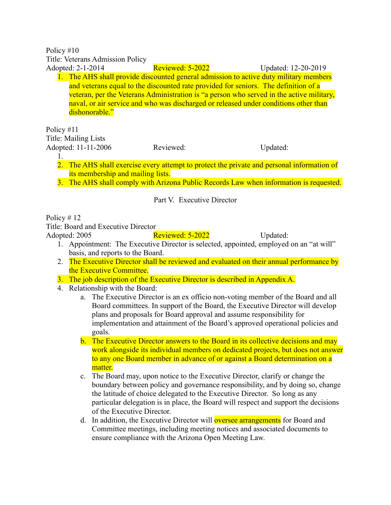Policy #10

Title: Veterans Admission Policy

Adopted: 2-1-2014 **Reviewed: 5-2022** Updated: 12-20-2019 1. The AHS shall provide discounted general admission to active duty military members and veterans equal to the discounted rate provided for seniors. The definition of a veteran, per the Veterans Administration is "a person who served in the active military, naval, or air service and who was discharged or released under conditions other than dishonorable."

Policy #11 Title: Mailing Lists

Adopted: 11-11-2006 Reviewed: Updated:

- 1.
- 2. The AHS shall exercise every attempt to protect the private and personal information of its membership and mailing lists.
- 3. The AHS shall comply with Arizona Public Records Law when information is requested.

Part V. Executive Director

Policy # 12

Title: Board and Executive Director

Adopted: 2005 Reviewed: 5-2022 Updated:

- 1. Appointment: The Executive Director is selected, appointed, employed on an "at will" basis, and reports to the Board.
- 2. The Executive Director shall be reviewed and evaluated on their annual performance by the Executive Committee.
- 3. The job description of the Executive Director is described in Appendix A.
- 4. Relationship with the Board:
	- a. The Executive Director is an ex officio non-voting member of the Board and all Board committees. In support of the Board, the Executive Director will develop plans and proposals for Board approval and assume responsibility for implementation and attainment of the Board's approved operational policies and goals.
	- b. The Executive Director answers to the Board in its collective decisions and may work alongside its individual members on dedicated projects, but does not answer to any one Board member in advance of or against a Board determination on a matter.
	- c. The Board may, upon notice to the Executive Director, clarify or change the boundary between policy and governance responsibility, and by doing so, change the latitude of choice delegated to the Executive Director. So long as any particular delegation is in place, the Board will respect and support the decisions of the Executive Director.
	- d. In addition, the Executive Director will oversee arrangements for Board and Committee meetings, including meeting notices and associated documents to ensure compliance with the Arizona Open Meeting Law.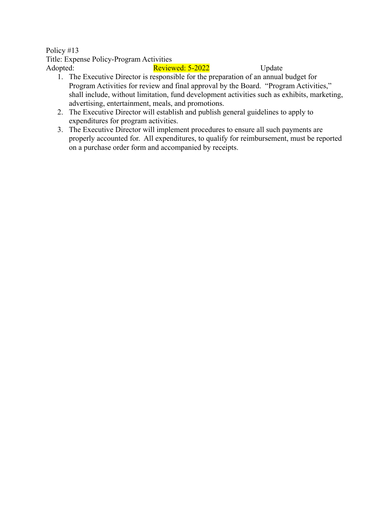Policy #13 Title: Expense Policy-Program Activities Adopted: Reviewed: 5-2022 Update

- 1. The Executive Director is responsible for the preparation of an annual budget for Program Activities for review and final approval by the Board. "Program Activities," shall include, without limitation, fund development activities such as exhibits, marketing, advertising, entertainment, meals, and promotions.
- 2. The Executive Director will establish and publish general guidelines to apply to expenditures for program activities.
- 3. The Executive Director will implement procedures to ensure all such payments are properly accounted for. All expenditures, to qualify for reimbursement, must be reported on a purchase order form and accompanied by receipts.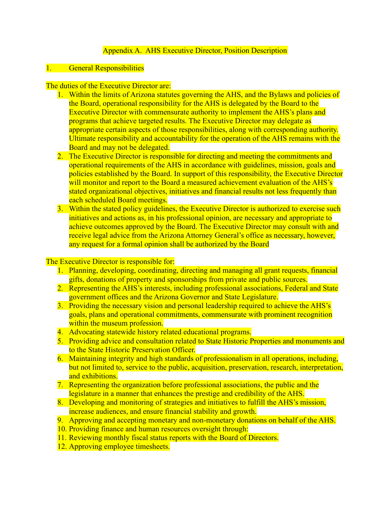# Appendix A. AHS Executive Director, Position Description

#### 1. General Responsibilities

#### The duties of the Executive Director are:

- 1. Within the limits of Arizona statutes governing the AHS, and the Bylaws and policies of the Board, operational responsibility for the AHS is delegated by the Board to the Executive Director with commensurate authority to implement the AHS's plans and programs that achieve targeted results. The Executive Director may delegate as appropriate certain aspects of those responsibilities, along with corresponding authority. Ultimate responsibility and accountability for the operation of the AHS remains with the Board and may not be delegated.
- 2. The Executive Director is responsible for directing and meeting the commitments and operational requirements of the AHS in accordance with guidelines, mission, goals and policies established by the Board. In support of this responsibility, the Executive Director will monitor and report to the Board a measured achievement evaluation of the AHS's stated organizational objectives, initiatives and financial results not less frequently than each scheduled Board meetings.
- 3. Within the stated policy guidelines, the Executive Director is authorized to exercise such initiatives and actions as, in his professional opinion, are necessary and appropriate to achieve outcomes approved by the Board. The Executive Director may consult with and receive legal advice from the Arizona Attorney General's office as necessary, however, any request for a formal opinion shall be authorized by the Board

The Executive Director is responsible for:

- 1. Planning, developing, coordinating, directing and managing all grant requests, financial gifts, donations of property and sponsorships from private and public sources.
- 2. Representing the AHS's interests, including professional associations, Federal and State government offices and the Arizona Governor and State Legislature.
- 3. Providing the necessary vision and personal leadership required to achieve the AHS's goals, plans and operational commitments, commensurate with prominent recognition within the museum profession.
- 4. Advocating statewide history related educational programs.
- 5. Providing advice and consultation related to State Historic Properties and monuments and to the State Historic Preservation Officer.
- 6. Maintaining integrity and high standards of professionalism in all operations, including, but not limited to, service to the public, acquisition, preservation, research, interpretation, and exhibitions.
- 7. Representing the organization before professional associations, the public and the legislature in a manner that enhances the prestige and credibility of the AHS.
- 8. Developing and monitoring of strategies and initiatives to fulfill the AHS's mission, increase audiences, and ensure financial stability and growth.
- 9. Approving and accepting monetary and non-monetary donations on behalf of the AHS.
- 10. Providing finance and human resources oversight through:
- 11. Reviewing monthly fiscal status reports with the Board of Directors.
- 12. Approving employee timesheets.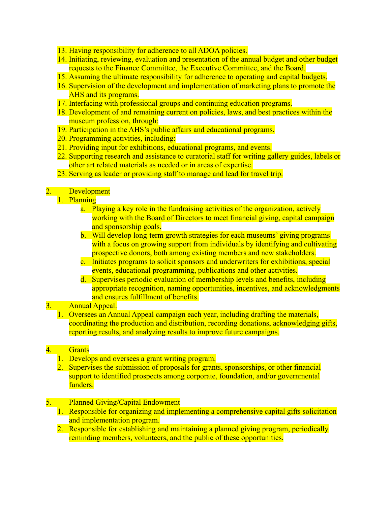- 13. Having responsibility for adherence to all ADOA policies.
- 14. Initiating, reviewing, evaluation and presentation of the annual budget and other budget requests to the Finance Committee, the Executive Committee, and the Board.
- 15. Assuming the ultimate responsibility for adherence to operating and capital budgets.
- 16. Supervision of the development and implementation of marketing plans to promote the AHS and its programs.
- 17. Interfacing with professional groups and continuing education programs.
- 18. Development of and remaining current on policies, laws, and best practices within the museum profession, through:
- 19. Participation in the AHS's public affairs and educational programs.
- 20. Programming activities, including:
- 21. Providing input for exhibitions, educational programs, and events.
- 22. Supporting research and assistance to curatorial staff for writing gallery guides, labels or other art related materials as needed or in areas of expertise.
- 23. Serving as leader or providing staff to manage and lead for travel trip.

### 2. Development

### 1. Planning

- a. Playing a key role in the fundraising activities of the organization, actively working with the Board of Directors to meet financial giving, capital campaign and sponsorship goals.
- b. Will develop long-term growth strategies for each museums' giving programs with a focus on growing support from individuals by identifying and cultivating prospective donors, both among existing members and new stakeholders.
- c. Initiates programs to solicit sponsors and underwriters for exhibitions, special events, educational programming, publications and other activities.
- d. Supervises periodic evaluation of membership levels and benefits, including appropriate recognition, naming opportunities, incentives, and acknowledgments and ensures fulfillment of benefits.

### 3. Annual Appeal.

1. Oversees an Annual Appeal campaign each year, including drafting the materials, coordinating the production and distribution, recording donations, acknowledging gifts, reporting results, and analyzing results to improve future campaigns.

### 4. Grants

- 1. Develops and oversees a grant writing program.
- 2. Supervises the submission of proposals for grants, sponsorships, or other financial support to identified prospects among corporate, foundation, and/or governmental funders.

#### 5. Planned Giving/Capital Endowment

- 1. Responsible for organizing and implementing a comprehensive capital gifts solicitation and implementation program.
- 2. Responsible for establishing and maintaining a planned giving program, periodically reminding members, volunteers, and the public of these opportunities.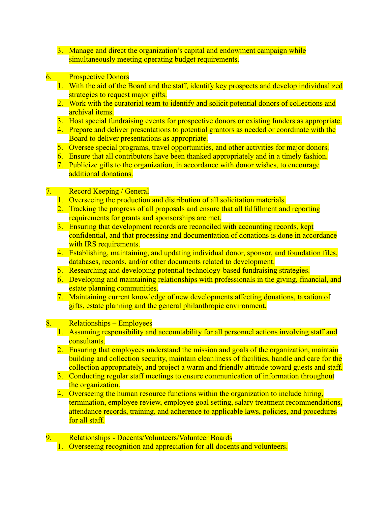- 3. Manage and direct the organization's capital and endowment campaign while simultaneously meeting operating budget requirements.
- 6. Prospective Donors
	- 1. With the aid of the Board and the staff, identify key prospects and develop individualized strategies to request major gifts.
	- 2. Work with the curatorial team to identify and solicit potential donors of collections and archival items.
	- 3. Host special fundraising events for prospective donors or existing funders as appropriate.
	- 4. Prepare and deliver presentations to potential grantors as needed or coordinate with the Board to deliver presentations as appropriate.
	- 5. Oversee special programs, travel opportunities, and other activities for major donors.
	- 6. Ensure that all contributors have been thanked appropriately and in a timely fashion.
	- 7. Publicize gifts to the organization, in accordance with donor wishes, to encourage additional donations.

# 7. Record Keeping / General

- 1. Overseeing the production and distribution of all solicitation materials.
- 2. Tracking the progress of all proposals and ensure that all fulfillment and reporting requirements for grants and sponsorships are met.
- 3. Ensuring that development records are reconciled with accounting records, kept confidential, and that processing and documentation of donations is done in accordance with IRS requirements.
- 4. Establishing, maintaining, and updating individual donor, sponsor, and foundation files, databases, records, and/or other documents related to development.
- 5. Researching and developing potential technology-based fundraising strategies.
- 6. Developing and maintaining relationships with professionals in the giving, financial, and estate planning communities.
- 7. Maintaining current knowledge of new developments affecting donations, taxation of gifts, estate planning and the general philanthropic environment.

### 8. Relationships – Employees

- 1. Assuming responsibility and accountability for all personnel actions involving staff and consultants.
- 2. Ensuring that employees understand the mission and goals of the organization, maintain building and collection security, maintain cleanliness of facilities, handle and care for the collection appropriately, and project a warm and friendly attitude toward guests and staff.
- 3. Conducting regular staff meetings to ensure communication of information throughout the organization.
- 4. Overseeing the human resource functions within the organization to include hiring, termination, employee review, employee goal setting, salary treatment recommendations, attendance records, training, and adherence to applicable laws, policies, and procedures for all staff.
- 9. Relationships Docents/Volunteers/Volunteer Boards
	- 1. Overseeing recognition and appreciation for all docents and volunteers.